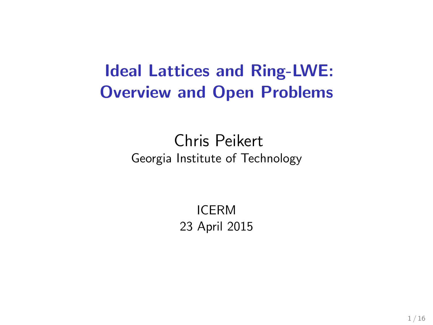# Ideal Lattices and Ring-LWE: Overview and Open Problems

### Chris Peikert Georgia Institute of Technology

ICERM 23 April 2015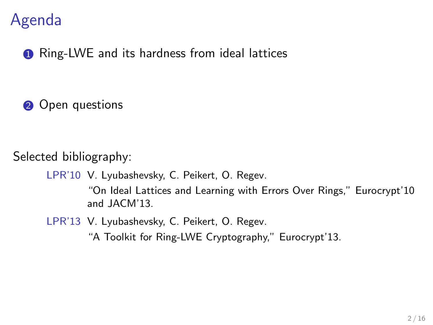## Agenda

**1** Ring-LWE and its hardness from ideal lattices

2 Open questions

Selected bibliography:

LPR'10 V. Lyubashevsky, C. Peikert, O. Regev.

"On Ideal Lattices and Learning with Errors Over Rings," Eurocrypt'10 and JACM'13.

LPR'13 V. Lyubashevsky, C. Peikert, O. Regev.

"A Toolkit for Ring-LWE Cryptography," Eurocrypt'13.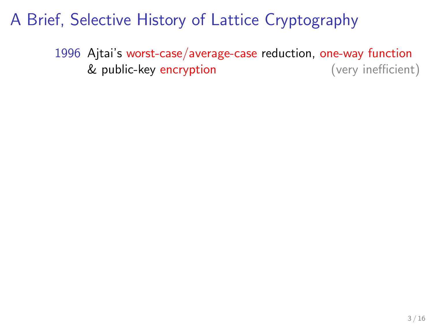1996 Ajtai's worst-case/average-case reduction, one-way function & public-key encryption (very inefficient)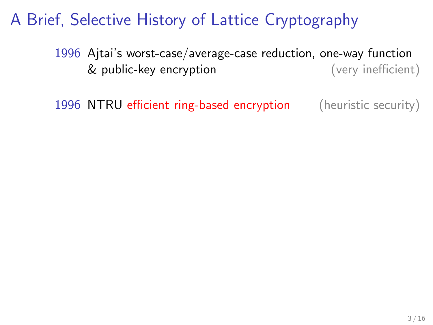1996 Ajtai's worst-case/average-case reduction, one-way function & public-key encryption (very inefficient)

1996 NTRU efficient ring-based encryption (heuristic security)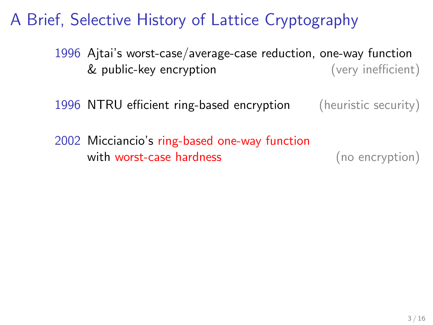- 1996 Ajtai's worst-case/average-case reduction, one-way function & public-key encryption (very inefficient)
- 1996 NTRU efficient ring-based encryption (heuristic security)
- 2002 Micciancio's ring-based one-way function with worst-case hardness (no encryption)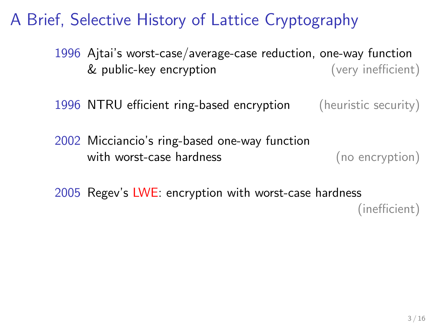1996 Ajtai's worst-case/average-case reduction, one-way function & public-key encryption (very inefficient)

1996 NTRU efficient ring-based encryption (heuristic security)

2002 Micciancio's ring-based one-way function with worst-case hardness (no encryption)

2005 Regev's LWE: encryption with worst-case hardness (inefficient)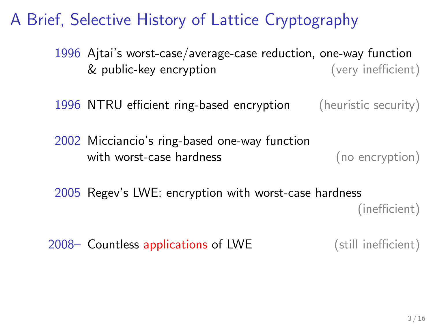1996 Ajtai's worst-case/average-case reduction, one-way function & public-key encryption (very inefficient)

1996 NTRU efficient ring-based encryption (heuristic security)

- 2002 Micciancio's ring-based one-way function with worst-case hardness (no encryption)
- 2005 Regev's LWE: encryption with worst-case hardness (inefficient)

2008– Countless applications of LWE (still inefficient)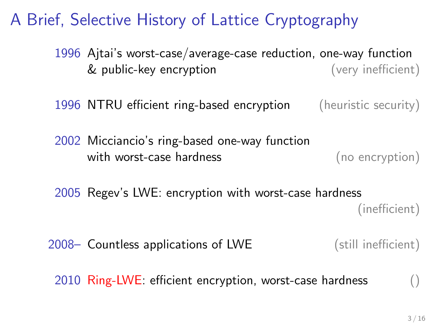1996 Ajtai's worst-case/average-case reduction, one-way function & public-key encryption (very inefficient)

1996 NTRU efficient ring-based encryption (heuristic security)

- 2002 Micciancio's ring-based one-way function with worst-case hardness (no encryption)
- 2005 Regev's LWE: encryption with worst-case hardness (inefficient)

2008– Countless applications of LWE (still inefficient)

 $2010$  Ring-LWE: efficient encryption, worst-case hardness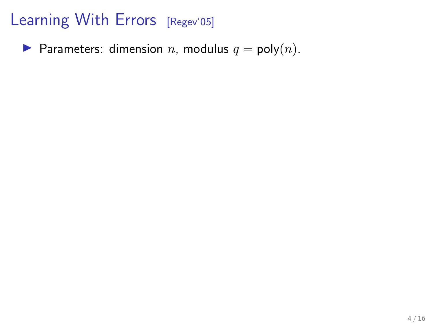**Parameters:** dimension *n*, modulus  $q = \text{poly}(n)$ .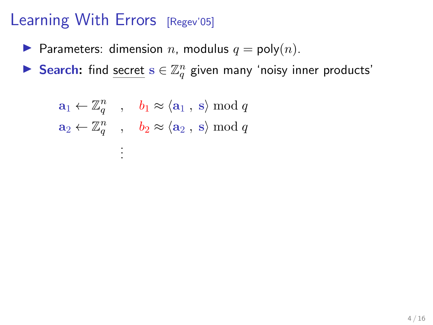- **Parameters:** dimension *n*, modulus  $q = \text{poly}(n)$ .
- Search: find secret  $s \in \mathbb{Z}_q^n$  given many 'noisy inner products'

$$
a_1 \leftarrow \mathbb{Z}_q^n
$$
,  $b_1 \approx \langle a_1, s \rangle \mod q$   
 $a_2 \leftarrow \mathbb{Z}_q^n$ ,  $b_2 \approx \langle a_2, s \rangle \mod q$   
 $\vdots$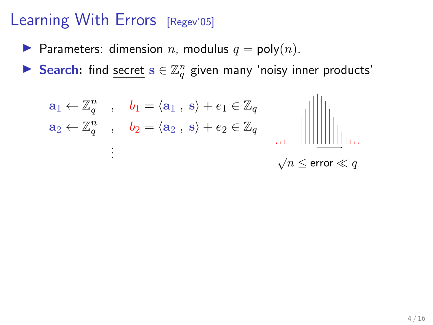- **Parameters:** dimension n, modulus  $q = \text{poly}(n)$ .
- Search: find secret  $s \in \mathbb{Z}_q^n$  given many 'noisy inner products'

$$
\mathbf{a}_1 \leftarrow \mathbb{Z}_q^n \quad , \quad \mathbf{b}_1 = \langle \mathbf{a}_1 \,, \, \mathbf{s} \rangle + \mathbf{e}_1 \in \mathbb{Z}_q
$$
\n
$$
\mathbf{a}_2 \leftarrow \mathbb{Z}_q^n \quad , \quad \mathbf{b}_2 = \langle \mathbf{a}_2 \,, \, \mathbf{s} \rangle + \mathbf{e}_2 \in \mathbb{Z}_q \quad \text{and} \quad \mathbf{a}_3 \leftarrow \mathbb{Z}_q
$$

$$
\sqrt{n} \leq \mathrm{error} \ll q
$$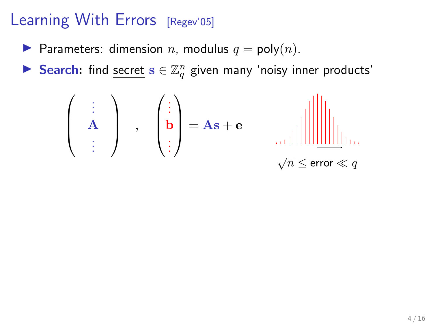- **Parameters:** dimension *n*, modulus  $q = \text{poly}(n)$ .
- Search: find secret  $s \in \mathbb{Z}_q^n$  given many 'noisy inner products'

 . . . A . . . , . . . b . . . <sup>=</sup> As <sup>+</sup> <sup>e</sup> √ n ≤ error q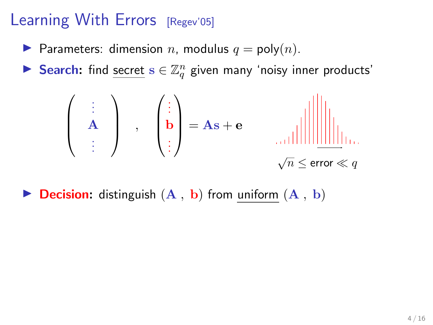- **Parameters:** dimension n, modulus  $q = \text{poly}(n)$ .
- Search: find secret  $s \in \mathbb{Z}_q^n$  given many 'noisy inner products'

 . . . A . . . , . . . b . . . <sup>=</sup> As <sup>+</sup> <sup>e</sup> √ n ≤ error q

**Decision:** distinguish  $(A, b)$  from uniform  $(A, b)$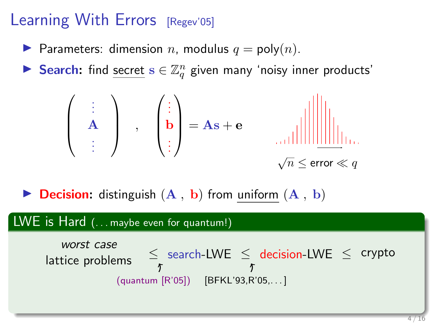- **Parameters:** dimension n, modulus  $q = \text{poly}(n)$ .
- Search: find secret  $s \in \mathbb{Z}_q^n$  given many 'noisy inner products'

 . . . A . . . , . . . b . . . <sup>=</sup> As <sup>+</sup> <sup>e</sup> √ n ≤ error q

**Decision:** distinguish  $(A, b)$  from uniform  $(A, b)$ 

### LWE is Hard (... maybe even for quantum!)

*worst case*\n
$$
\leq
$$
\n $\leq$ \n $\leq$ \n $\leq$ \n $\leq$ \n $\leq$ \n $\leq$ \n $\leq$ \n $\leq$ \n $\leq$ \n $\leq$ \n $\leq$ \n $\leq$ \n $\leq$ \n $\leq$ \n $\leq$ \n $\leq$ \n $\leq$ \n $\leq$ \n $\leq$ \n $\leq$ \n $\leq$ \n $\leq$ \n $\leq$ \n $\leq$ \n $\leq$ \n $\leq$ \n $\leq$ \n $\leq$ \n $\leq$ \n $\leq$ \n $\leq$ \n $\leq$ \n $\leq$ \n $\leq$ \n $\leq$ \n $\leq$ \n $\leq$ \n $\leq$ \n $\leq$ \n $\leq$ \n $\leq$ \n $\leq$ \n $\leq$ \n $\leq$ \n $\leq$ \n $\leq$ \n $\leq$ \n $\leq$ \n $\leq$ \n $\leq$ \n $\leq$ \n $\leq$ \n $\leq$ \n $\leq$ \n $\leq$ \n $\leq$ \n $\leq$ \n $\leq$ \n $\leq$ \n $\leq$ \n $\leq$ \n $\leq$ \n<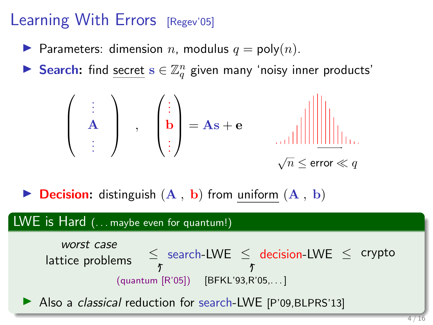- **Parameters:** dimension n, modulus  $q = \text{poly}(n)$ .
- Search: find secret  $s \in \mathbb{Z}_q^n$  given many 'noisy inner products'

 . . . A . . . , . . . b . . . <sup>=</sup> As <sup>+</sup> <sup>e</sup> √ n ≤ error q

**Decision:** distinguish  $(A, b)$  from uniform  $(A, b)$ 

### LWE is Hard (... maybe even for quantum!)

*worst case*\n
$$
\leq
$$
 search-LWE  $\leq$  decision-LWE  $\leq$  crypto\n $\uparrow$ \n(quantum [R'05]) [BFKL'93,R'05,...]

Also a *classical* reduction for search-LWE [P'09, BLPRS'13]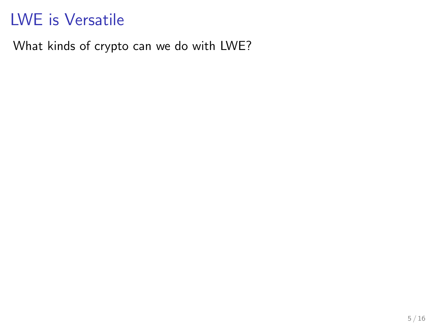What kinds of crypto can we do with LWE?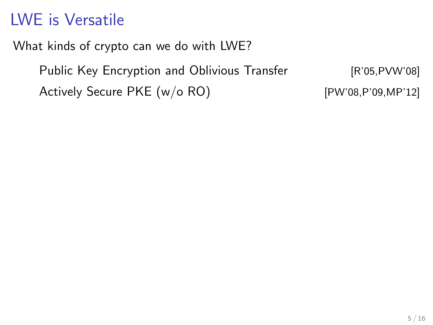What kinds of crypto can we do with LWE?

Public Key Encryption and Oblivious Transfer [R'05,PVW'08] Actively Secure PKE (w/o RO) [PW'08,P'09,MP'12]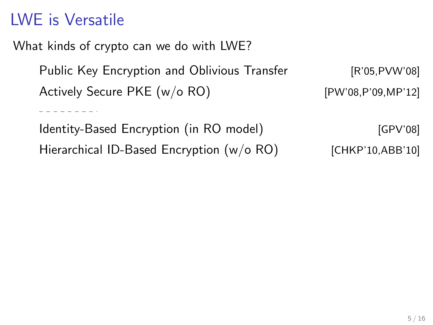. <u>. . . . . . .</u> .

What kinds of crypto can we do with LWE?

Public Key Encryption and Oblivious Transfer [R'05,PVW'08] Actively Secure PKE  $(w/o \, RO)$  [PW'08,P'09,MP'12]

Identity-Based Encryption (in RO model) [GPV'08] Hierarchical ID-Based Encryption (w/o RO) [CHKP'10,ABB'10]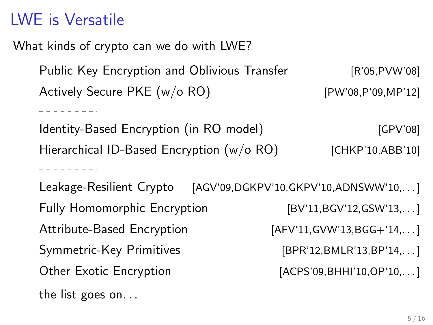. . . . . . . . . .

. . . . . . . . .

What kinds of crypto can we do with LWE?

Public Key Encryption and Oblivious Transfer [R'05,PVW'08] Actively Secure PKE  $(w/o \, RO)$  [PW'08,P'09,MP'12]

Identity-Based Encryption (in RO model) [GPV'08] Hierarchical ID-Based Encryption (w/o RO) [CHKP'10,ABB'10]

Leakage-Resilient Crypto [AGV'09,DGKPV'10,GKPV'10,ADNSWW'10,...] Fully Homomorphic Encryption [BV'11,BGV'12,GSW'13,...] Attribute-Based Encryption [AFV'11,GVW'13,BGG+'14,...] Symmetric-Key Primitives [BPR'12,BMLR'13,BP'14,...] Other Exotic Encryption [ACPS'09,BHHI'10,OP'10,...] the list goes on. . .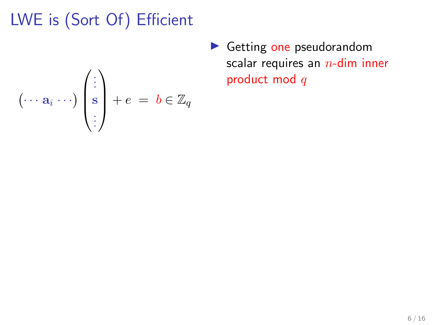$$
(\cdots a_i \cdots) \begin{pmatrix} \vdots \\ s \\ \vdots \end{pmatrix} + e = b \in \mathbb{Z}_q
$$

 $\blacktriangleright$  Getting one pseudorandom scalar requires an  $n$ -dim inner product mod q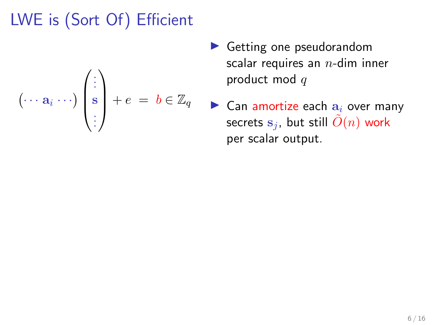$$
(\cdots a_i \cdots) \begin{pmatrix} \vdots \\ s \\ \vdots \end{pmatrix} + e = b \in \mathbb{Z}_q
$$

- $\blacktriangleright$  Getting one pseudorandom scalar requires an  $n$ -dim inner product mod  $q$
- $\blacktriangleright$  Can amortize each  $a_i$  over many secrets  $s_i$ , but still  $\tilde{O}(n)$  work per scalar output.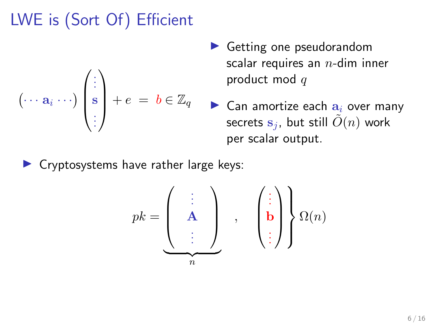$$
(\cdots a_i \cdots) \begin{pmatrix} \vdots \\ s \\ \vdots \end{pmatrix} + e = b \in \mathbb{Z}_q
$$

- $\blacktriangleright$  Getting one pseudorandom scalar requires an  $n$ -dim inner product mod  $q$
- $\blacktriangleright$  Can amortize each  $a_i$  over many secrets  $s_i$ , but still  $\tilde{O}(n)$  work per scalar output.

 $\triangleright$  Cryptosystems have rather large keys:

$$
pk = \underbrace{\left(\begin{array}{c} \vdots \\ A \\ \vdots \end{array}\right)}_{n}, \quad \left(\begin{array}{c} \vdots \\ \mathbf{b} \\ \vdots \end{array}\right)}_{n} \Omega(n)
$$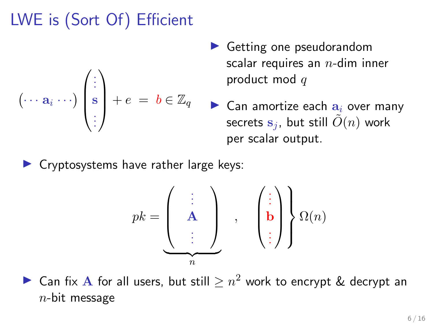$$
(\cdots a_i \cdots) \begin{pmatrix} \vdots \\ s \\ \vdots \end{pmatrix} + e = b \in \mathbb{Z}_q
$$

- $\blacktriangleright$  Getting one pseudorandom scalar requires an  $n$ -dim inner product mod  $q$
- $\blacktriangleright$  Can amortize each  $a_i$  over many secrets  $s_i$ , but still  $\tilde{O}(n)$  work per scalar output.

 $\blacktriangleright$  Cryptosystems have rather large keys:

$$
pk = \left(\begin{array}{c} \vdots \\ A \\ \vdots \end{array}\right) , \quad \left(\begin{array}{c} \vdots \\ B \\ \vdots \end{array}\right) \right\} \Omega(n)
$$

► Can fix A for all users, but still  $\geq n^2$  work to encrypt & decrypt an  $n$ -bit message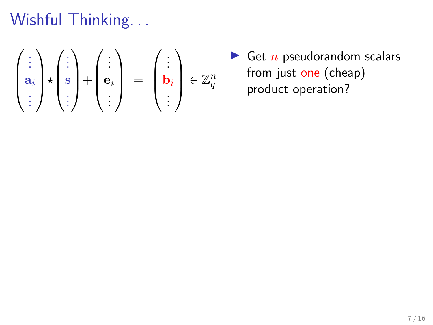Wishful Thinking...

$$
\begin{pmatrix} \vdots \\ a_i \\ \vdots \end{pmatrix} \star \begin{pmatrix} \vdots \\ s \\ \vdots \end{pmatrix} + \begin{pmatrix} \vdots \\ e_i \\ \vdots \end{pmatrix} = \begin{pmatrix} \vdots \\ b_i \\ \vdots \end{pmatrix} \in \mathbb{Z}_q^n
$$

 $\blacktriangleright$  Get  $n$  pseudorandom scalars from just one (cheap) product operation?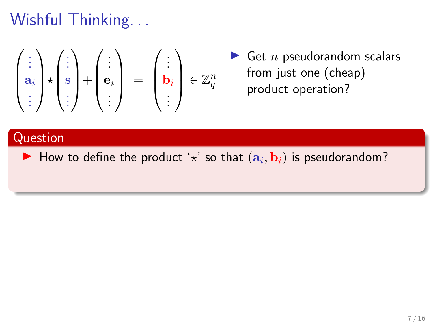# Wishful Thinking...

$$
\begin{pmatrix} \vdots \\ \mathbf{a}_i \\ \vdots \end{pmatrix} \star \begin{pmatrix} \vdots \\ \mathbf{s} \\ \vdots \end{pmatrix} + \begin{pmatrix} \vdots \\ \mathbf{e}_i \\ \vdots \end{pmatrix} = \begin{pmatrix} \vdots \\ \mathbf{b}_i \\ \vdots \end{pmatrix} \in \mathbb{Z}_q^n
$$

 $\blacktriangleright$  Get n pseudorandom scalars from just one (cheap) product operation?

### Question

 $\blacktriangleright$  How to define the product ' $\star$ ' so that  $(a_i, b_i)$  is pseudorandom?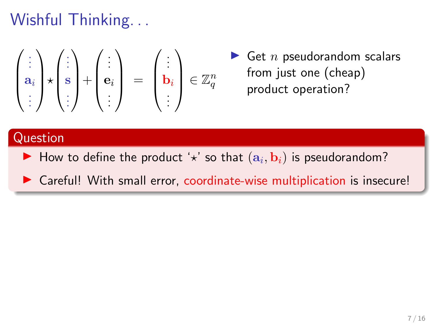# Wishful Thinking...

$$
\begin{pmatrix} \vdots \\ \mathbf{a}_i \\ \vdots \end{pmatrix} \star \begin{pmatrix} \vdots \\ \mathbf{s} \\ \vdots \end{pmatrix} + \begin{pmatrix} \vdots \\ \mathbf{e}_i \\ \vdots \end{pmatrix} = \begin{pmatrix} \vdots \\ \mathbf{b}_i \\ \vdots \end{pmatrix} \in \mathbb{Z}_q^n
$$

 $\blacktriangleright$  Get n pseudorandom scalars from just one (cheap) product operation?

#### Question

- $\blacktriangleright$  How to define the product ' $\star$ ' so that  $(a_i, b_i)$  is pseudorandom?
- $\triangleright$  Careful! With small error, coordinate-wise multiplication is insecure!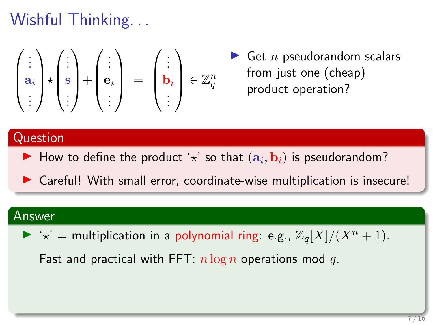# Wishful Thinking. . .

$$
\begin{pmatrix} \vdots \\ \mathbf{a}_i \\ \vdots \end{pmatrix} \star \begin{pmatrix} \vdots \\ \mathbf{s} \\ \vdots \end{pmatrix} + \begin{pmatrix} \vdots \\ \mathbf{e}_i \\ \vdots \end{pmatrix} = \begin{pmatrix} \vdots \\ \mathbf{b}_i \\ \vdots \end{pmatrix} \in \mathbb{Z}_q^n
$$

 $\blacktriangleright$  Get n pseudorandom scalars from just one (cheap) product operation?

#### Question

 $\blacktriangleright$  How to define the product ' $\star$ ' so that  $(a_i, b_i)$  is pseudorandom?

 $\triangleright$  Careful! With small error, coordinate-wise multiplication is insecure!

#### Answer

 $\blacktriangleright$  ' $\star$ ' = multiplication in a polynomial ring: e.g.,  $\mathbb{Z}_q[X]/(X^n + 1)$ .

Fast and practical with FFT:  $n \log n$  operations mod q.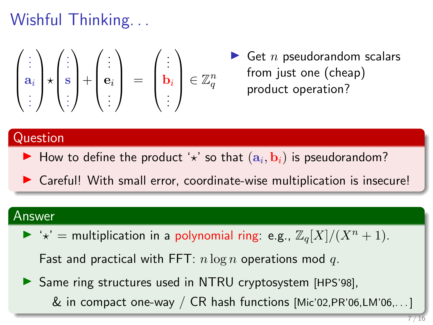# Wishful Thinking. . .

$$
\begin{pmatrix} \vdots \\ \mathbf{a}_i \\ \vdots \end{pmatrix} \star \begin{pmatrix} \vdots \\ \mathbf{s} \\ \vdots \end{pmatrix} + \begin{pmatrix} \vdots \\ \mathbf{e}_i \\ \vdots \end{pmatrix} = \begin{pmatrix} \vdots \\ \mathbf{b}_i \\ \vdots \end{pmatrix} \in \mathbb{Z}_q^n
$$

 $\blacktriangleright$  Get n pseudorandom scalars from just one (cheap) product operation?

### Question

 $\blacktriangleright$  How to define the product ' $\star$ ' so that  $(a_i, b_i)$  is pseudorandom?

 $\triangleright$  Careful! With small error, coordinate-wise multiplication is insecure!

#### Answer

 $\blacktriangleright$  ' $\star$ ' = multiplication in a polynomial ring: e.g.,  $\mathbb{Z}_q[X]/(X^n + 1)$ .

Fast and practical with FFT:  $n \log n$  operations mod q.

▶ Same ring structures used in NTRU cryptosystem [HPS'98],  $\&$  in compact one-way / CR hash functions [Mic'02, PR'06, LM'06,...]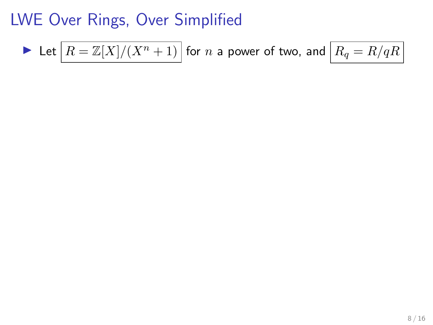Let 
$$
\boxed{R = \mathbb{Z}[X]/(X^n + 1)}
$$
 for *n* a power of two, and  $\boxed{R_q = R/qR}$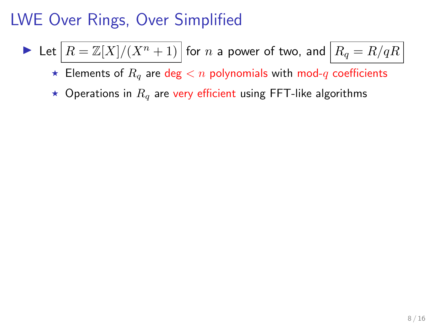Let 
$$
\boxed{R = \mathbb{Z}[X]/(X^n + 1)}
$$
 for *n* a power of two, and  $\boxed{R_q = R/qR}$ 

 $\star$  Elements of  $R_q$  are deg  $\lt n$  polynomials with mod-q coefficients

 $\star$  Operations in  $R_q$  are very efficient using FFT-like algorithms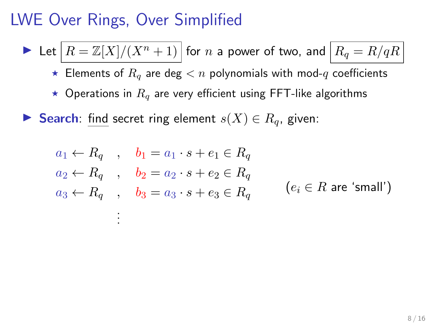.

Let  $|R = \mathbb{Z}[X]/(X^n + 1)$  for n a power of two, and  $|R_q = R/qR|$ 

 $\star$  Elements of  $R_q$  are deg  $\lt n$  polynomials with mod-q coefficients

 $\star$  Operations in  $R_q$  are very efficient using FFT-like algorithms

► Search: find secret ring element  $s(X) \in R_q$ , given:

$$
a_1 \leftarrow R_q \quad , \quad b_1 = a_1 \cdot s + e_1 \in R_q
$$
  
\n
$$
a_2 \leftarrow R_q \quad , \quad b_2 = a_2 \cdot s + e_2 \in R_q
$$
  
\n
$$
a_3 \leftarrow R_q \quad , \quad b_3 = a_3 \cdot s + e_3 \in R_q \quad (e_i \in R \text{ are 'small'})
$$
  
\n
$$
\vdots
$$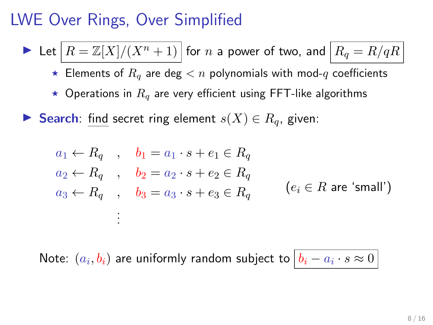Let  $|R = \mathbb{Z}[X]/(X^n + 1)$  for n a power of two, and  $|R_q = R/qR|$ 

 $\star$  Elements of  $R_q$  are deg  $\lt n$  polynomials with mod-q coefficients

 $\star$  Operations in  $R_q$  are very efficient using FFT-like algorithms

► Search: find secret ring element  $s(X) \in R_q$ , given:

$$
a_1 \leftarrow R_q \quad , \quad b_1 = a_1 \cdot s + e_1 \in R_q
$$
  
\n
$$
a_2 \leftarrow R_q \quad , \quad b_2 = a_2 \cdot s + e_2 \in R_q
$$
  
\n
$$
a_3 \leftarrow R_q \quad , \quad b_3 = a_3 \cdot s + e_3 \in R_q \quad (e_i \in R \text{ are 'small'})
$$
  
\n
$$
\vdots
$$

Note:  $(a_i,b_i)$  are uniformly random subject to  $\big|b_i-a_i\cdot s\approx 0\big|$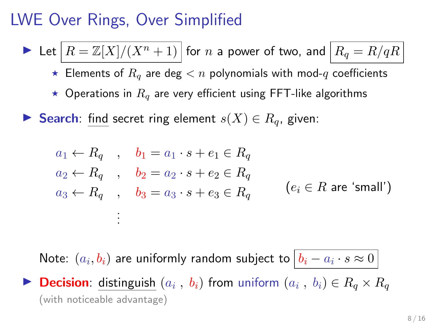Let  $|R = \mathbb{Z}[X]/(X^n + 1)$  for n a power of two, and  $|R_q = R/qR|$ 

 $\star$  Elements of  $R_q$  are deg  $< n$  polynomials with mod-q coefficients

 $\star$  Operations in  $R_q$  are very efficient using FFT-like algorithms

► Search: find secret ring element  $s(X) \in R_q$ , given:

$$
a_1 \leftarrow R_q , b_1 = a_1 \cdot s + e_1 \in R_q
$$
  
\n
$$
a_2 \leftarrow R_q , b_2 = a_2 \cdot s + e_2 \in R_q
$$
  
\n
$$
a_3 \leftarrow R_q , b_3 = a_3 \cdot s + e_3 \in R_q
$$
  
\n
$$
\vdots
$$
  
\n
$$
(e_i \in R \text{ are 'small'})
$$

Note:  $(a_i,b_i)$  are uniformly random subject to  $\big|b_i-a_i\cdot s\approx 0\big|$ **Decision**: distinguish  $(a_i, b_i)$  from uniform  $(a_i, b_i) \in R_q \times R_q$ 

(with noticeable advantage)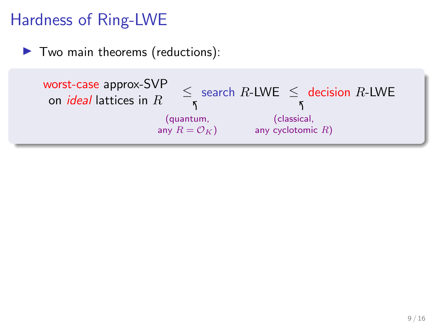# Hardness of Ring-LWE

 $\blacktriangleright$  Two main theorems (reductions):

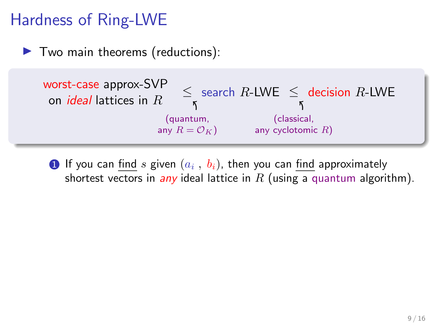# Hardness of Ring-LWE

 $\blacktriangleright$  Two main theorems (reductions):



 $\textbf{D}$  If you can  $\underline{\text{find}}$   $s$  given  $(a_i\ ,\ b_i)$ , then you can  $\underline{\text{find}}$  approximately shortest vectors in any ideal lattice in R (using a quantum algorithm).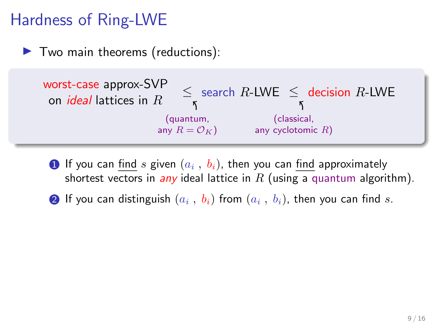# Hardness of Ring-LWE

 $\blacktriangleright$  Two main theorems (reductions):



- $\textbf{D}$  If you can  $\underline{\text{find}}$   $s$  given  $(a_i\ ,\ b_i)$ , then you can  $\underline{\text{find}}$  approximately shortest vectors in any ideal lattice in R (using a quantum algorithm).
- $\textbf{2}$  If you can distinguish  $(a_i \ , \ b_i)$  from  $(a_i \ , \ b_i)$ , then you can find  $s.$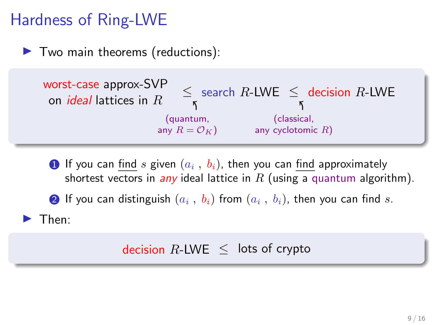# Hardness of Ring-LWE

 $\blacktriangleright$  Two main theorems (reductions):



 $\textbf{D}$  If you can  $\underline{\text{find}}$   $s$  given  $(a_i\ ,\ b_i)$ , then you can  $\underline{\text{find}}$  approximately shortest vectors in any ideal lattice in R (using a quantum algorithm).

 $\textbf{2}$  If you can distinguish  $(a_i \ , \ b_i)$  from  $(a_i \ , \ b_i)$ , then you can find  $s.$ 

 $\blacktriangleright$  Then:

### decision  $R$ -LWE  $\leq$  lots of crypto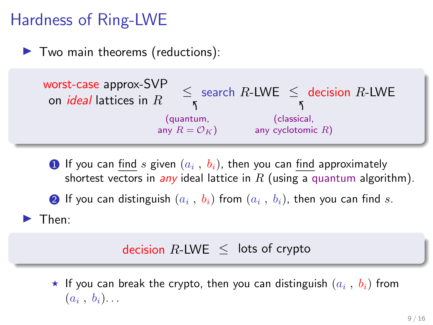# Hardness of Ring-LWE

 $\blacktriangleright$  Two main theorems (reductions):



 $\textbf{D}$  If you can  $\underline{\text{find}}$   $s$  given  $(a_i\ ,\ b_i)$ , then you can  $\underline{\text{find}}$  approximately shortest vectors in any ideal lattice in R (using a quantum algorithm).

 $\textbf{2}$  If you can distinguish  $(a_i \ , \ b_i)$  from  $(a_i \ , \ b_i)$ , then you can find  $s.$ 

 $\blacktriangleright$  Then:

### decision  $R$ -LWE  $\leq$  lots of crypto

 $\star$  If you can break the crypto, then you can distinguish  $(a_i$  ,  $b_i)$  from  $(a_i, b_i)$ ...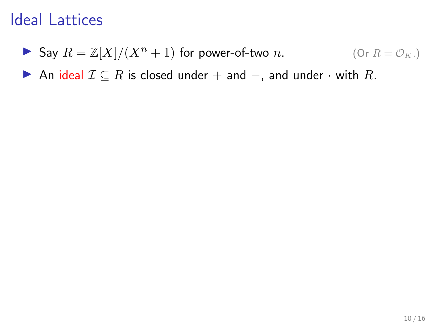Say  $R = \mathbb{Z}[X]/(X^n + 1)$  for power-of-two n. (Or  $R = \mathcal{O}_K$ .)

An ideal  $\mathcal{I} \subseteq R$  is closed under + and -, and under  $\cdot$  with R.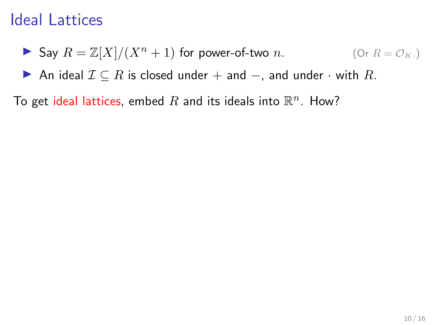**5** Say 
$$
R = \mathbb{Z}[X]/(X^n + 1)
$$
 for power-of-two *n*. (Or  $R = \mathcal{O}_K$ .)

An ideal  $\mathcal{I} \subseteq R$  is closed under + and  $-$ , and under  $\cdot$  with R.

To get ideal lattices, embed  $R$  and its ideals into  $\mathbb{R}^n$ . How?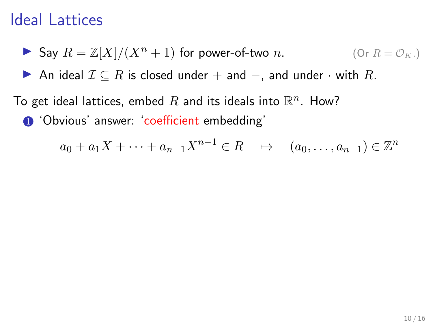**5** Say 
$$
R = \mathbb{Z}[X]/(X^n + 1)
$$
 for power-of-two *n*. (Or  $R = \mathcal{O}_K$ .)

An ideal  $\mathcal{I} \subseteq R$  is closed under + and -, and under  $\cdot$  with R.

To get ideal lattices, embed  $R$  and its ideals into  $\mathbb{R}^n$ . How? **1** 'Obvious' answer: 'coefficient embedding'

$$
a_0 + a_1 X + \dots + a_{n-1} X^{n-1} \in R \quad \mapsto \quad (a_0, \dots, a_{n-1}) \in \mathbb{Z}^n
$$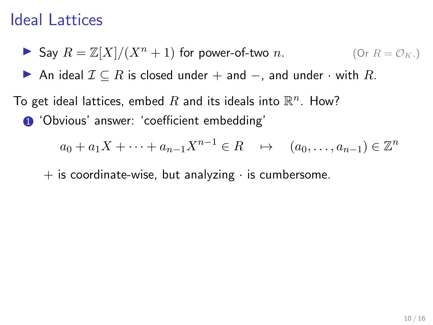**5** Say 
$$
R = \mathbb{Z}[X]/(X^n + 1)
$$
 for power-of-two *n*. (Or  $R = \mathcal{O}_K$ .)

▶ An ideal  $\mathcal{I} \subseteq R$  is closed under + and -, and under  $\cdot$  with R.

To get ideal lattices, embed  $R$  and its ideals into  $\mathbb{R}^n$ . How? **1** 'Obvious' answer: 'coefficient embedding'

$$
a_0 + a_1 X + \dots + a_{n-1} X^{n-1} \in R \quad \mapsto \quad (a_0, \dots, a_{n-1}) \in \mathbb{Z}^n
$$

 $+$  is coordinate-wise, but analyzing  $\cdot$  is cumbersome.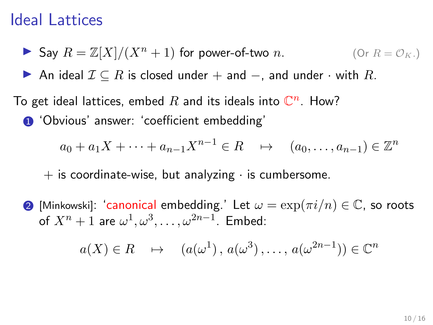Say  $R = \mathbb{Z}[X]/(X^n + 1)$  for power-of-two n. (Or  $R = \mathcal{O}_K$ .)

▶ An ideal  $\mathcal{I} \subseteq R$  is closed under + and -, and under  $\cdot$  with  $R$ .

To get ideal lattices, embed  $R$  and its ideals into  $\mathbb{C}^n$ . How? **1** 'Obvious' answer: 'coefficient embedding'

$$
a_0 + a_1 X + \dots + a_{n-1} X^{n-1} \in R \quad \mapsto \quad (a_0, \dots, a_{n-1}) \in \mathbb{Z}^n
$$

 $+$  is coordinate-wise, but analyzing  $\cdot$  is cumbersome.

**2** [Minkowski]: 'canonical embedding.' Let  $\omega = \exp(\pi i/n) \in \mathbb{C}$ , so roots of  $X^n+1$  are  $\omega^1,\omega^3,\ldots,\omega^{2n-1}.$  Embed:

$$
a(X) \in R \longrightarrow (a(\omega^1), a(\omega^3), \dots, a(\omega^{2n-1})) \in \mathbb{C}^n
$$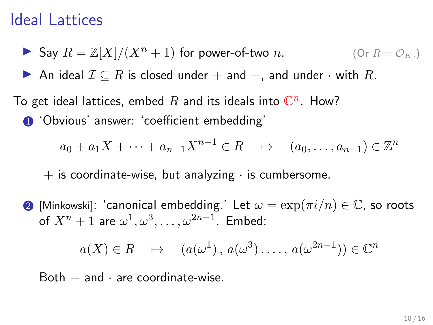Say  $R = \mathbb{Z}[X]/(X^n + 1)$  for power-of-two n. (Or  $R = \mathcal{O}_K$ .)

▶ An ideal  $\mathcal{I} \subseteq R$  is closed under + and -, and under  $\cdot$  with R.

To get ideal lattices, embed  $R$  and its ideals into  $\mathbb{C}^n$ . How? **1** 'Obvious' answer: 'coefficient embedding'

$$
a_0 + a_1 X + \dots + a_{n-1} X^{n-1} \in R \quad \mapsto \quad (a_0, \dots, a_{n-1}) \in \mathbb{Z}^n
$$

 $+$  is coordinate-wise, but analyzing  $\cdot$  is cumbersome.

**2** [Minkowski]: 'canonical embedding.' Let  $\omega = \exp(\pi i/n) \in \mathbb{C}$ , so roots of  $X^n+1$  are  $\omega^1,\omega^3,\ldots,\omega^{2n-1}.$  Embed:

$$
a(X) \in R \longrightarrow (a(\omega^1), a(\omega^3), \dots, a(\omega^{2n-1})) \in \mathbb{C}^n
$$

Both  $+$  and  $\cdot$  are coordinate-wise.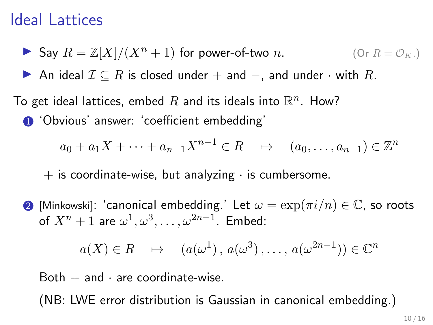Say  $R = \mathbb{Z}[X]/(X^n + 1)$  for power-of-two n. (Or  $R = \mathcal{O}_K$ .)

▶ An ideal  $\mathcal{I} \subseteq R$  is closed under  $+$  and  $-$ , and under  $\cdot$  with  $R$ .

To get ideal lattices, embed  $R$  and its ideals into  $\mathbb{R}^n$ . How? **1** 'Obvious' answer: 'coefficient embedding'

$$
a_0 + a_1 X + \dots + a_{n-1} X^{n-1} \in R \quad \mapsto \quad (a_0, \dots, a_{n-1}) \in \mathbb{Z}^n
$$

 $+$  is coordinate-wise, but analyzing  $\cdot$  is cumbersome.

**2** [Minkowski]: 'canonical embedding.' Let  $\omega = \exp(\pi i/n) \in \mathbb{C}$ , so roots of  $X^n+1$  are  $\omega^1,\omega^3,\ldots,\omega^{2n-1}.$  Embed:

$$
a(X) \in R \longrightarrow (a(\omega^1), a(\omega^3), \dots, a(\omega^{2n-1})) \in \mathbb{C}^n
$$

Both  $+$  and  $\cdot$  are coordinate-wise.

(NB: LWE error distribution is Gaussian in canonical embedding.)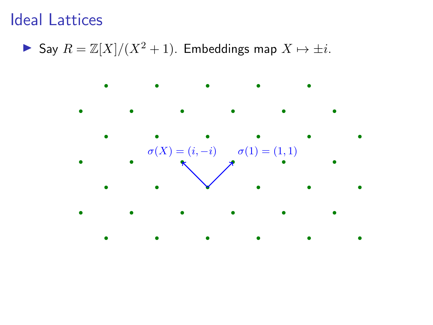▶ Say  $R = \mathbb{Z}[X]/(X^2 + 1)$ . Embeddings map  $X \mapsto \pm i$ .

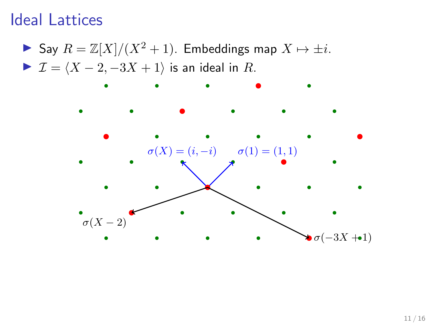▶ Say  $R = \mathbb{Z}[X]/(X^2 + 1)$ . Embeddings map  $X \mapsto \pm i$ .  $\blacktriangleright$   $\mathcal{I} = \langle X - 2, -3X + 1 \rangle$  is an ideal in R.

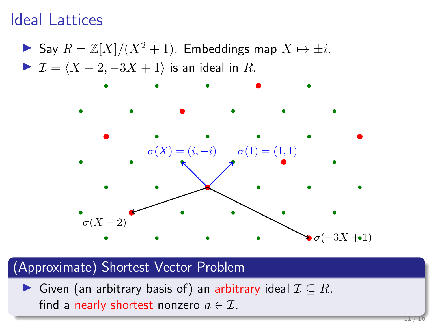▶ Say  $R = \mathbb{Z}[X]/(X^2 + 1)$ . Embeddings map  $X \mapsto \pm i$ .  $\blacktriangleright$   $\mathcal{I} = \langle X - 2, -3X + 1 \rangle$  is an ideal in R.



### (Approximate) Shortest Vector Problem

► Given (an arbitrary basis of) an arbitrary ideal  $\mathcal{I} \subseteq R$ , find a nearly shortest nonzero  $a \in \mathcal{I}$ .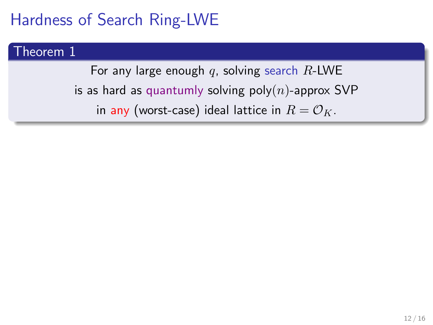## Hardness of Search Ring-LWE

#### Theorem 1

For any large enough  $q$ , solving search R-LWE is as hard as quantumly solving  $poly(n)$ -approx SVP in any (worst-case) ideal lattice in  $R = \mathcal{O}_K$ .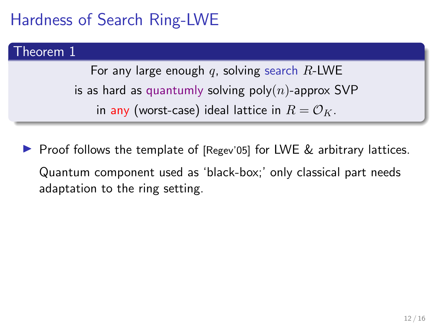# Hardness of Search Ring-LWE

#### Theorem 1

For any large enough q, solving search  $R$ -LWE is as hard as quantumly solving poly $(n)$ -approx SVP in any (worst-case) ideal lattice in  $R = \mathcal{O}_K$ .

**Proof follows the template of [Regev'05] for LWE**  $\&$  **arbitrary lattices.** Quantum component used as 'black-box;' only classical part needs adaptation to the ring setting.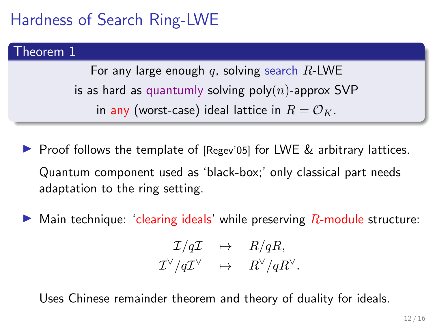# Hardness of Search Ring-LWE

#### Theorem 1

For any large enough q, solving search  $R$ -LWE is as hard as quantumly solving poly $(n)$ -approx SVP in any (worst-case) ideal lattice in  $R = \mathcal{O}_K$ .

- **Proof follows the template of [Regev'05] for LWE**  $\&$  **arbitrary lattices.** Quantum component used as 'black-box;' only classical part needs adaptation to the ring setting.
- $\triangleright$  Main technique: 'clearing ideals' while preserving  $R$ -module structure:

$$
\begin{array}{rcl} \mathcal{I}/q\mathcal{I} & \mapsto & R/qR, \\ \mathcal{I}^{\vee}/q\mathcal{I}^{\vee} & \mapsto & R^{\vee}/qR^{\vee}. \end{array}
$$

Uses Chinese remainder theorem and theory of duality for ideals.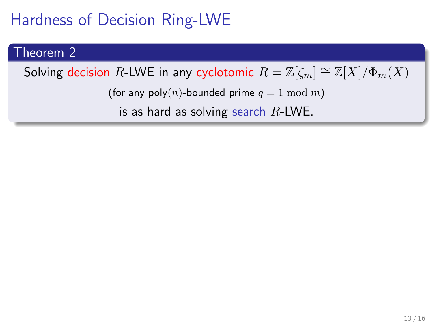# Theorem 2 Solving decision R-LWE in any cyclotomic  $R = \mathbb{Z}[\zeta_m] \cong \mathbb{Z}[X]/\Phi_m(X)$ (for any poly(n)-bounded prime  $q = 1 \text{ mod } m$ ) is as hard as solving search  $R$ -LWE.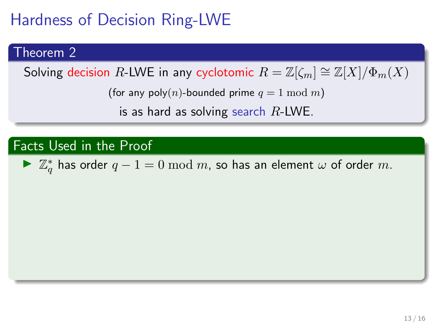### Theorem 2

Solving decision R-LWE in any cyclotomic  $R = \mathbb{Z}[\zeta_m] \cong \mathbb{Z}[X]/\Phi_m(X)$ 

(for any poly(n)-bounded prime  $q \equiv 1 \mod m$ )

is as hard as solving search  $R$ -LWE.

### Facts Used in the Proof

►  $\mathbb{Z}_q^*$  has order  $q-1=0 \mod m$ , so has an element  $\omega$  of order  $m$ .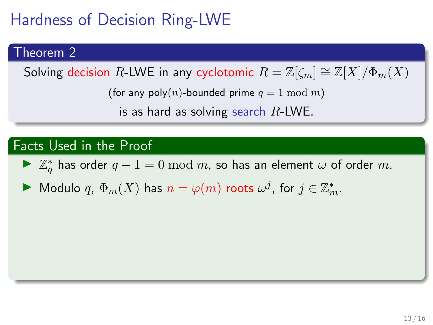#### Theorem 2

Solving decision R-LWE in any cyclotomic  $R = \mathbb{Z}[\zeta_m] \cong \mathbb{Z}[X]/\Phi_m(X)$ 

(for any poly(n)-bounded prime  $q \equiv 1 \mod m$ )

is as hard as solving search  $R$ -LWE.

### Facts Used in the Proof

►  $\mathbb{Z}_q^*$  has order  $q-1=0 \mod m$ , so has an element  $\omega$  of order  $m$ .

 $\blacktriangleright$  Modulo  $q$ ,  $\Phi_m(X)$  has  $n = \varphi(m)$  roots  $\omega^j$ , for  $j \in \mathbb{Z}_m^*$ .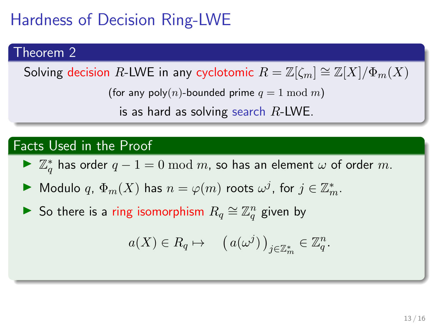#### Theorem 2

Solving decision R-LWE in any cyclotomic  $R = \mathbb{Z}[\zeta_m] \cong \mathbb{Z}[X]/\Phi_m(X)$ 

(for any poly(n)-bounded prime  $q \equiv 1 \mod m$ )

is as hard as solving search  $R$ -LWE.

### Facts Used in the Proof

- ►  $\mathbb{Z}_q^*$  has order  $q-1=0 \mod m$ , so has an element  $\omega$  of order  $m$ .
- $\blacktriangleright$  Modulo  $q$ ,  $\Phi_m(X)$  has  $n = \varphi(m)$  roots  $\omega^j$ , for  $j \in \mathbb{Z}_m^*$ .
- ► So there is a ring isomorphism  $R_q \cong \mathbb{Z}_q^n$  given by

$$
a(X) \in R_q \mapsto \left( a(\omega^j) \right)_{j \in \mathbb{Z}_m^*} \in \mathbb{Z}_q^n.
$$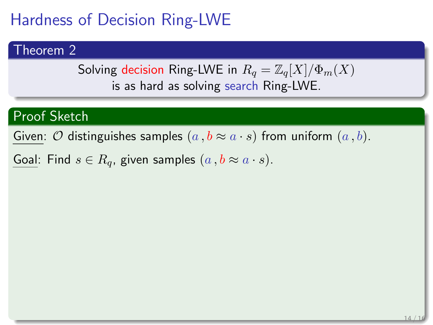### Theorem 2

Solving decision Ring-LWE in 
$$
R_q = \mathbb{Z}_q[X]/\Phi_m(X)
$$
 is as hard as solving search Ring-LWE.

### Proof Sketch

Given:  $O$  distinguishes samples  $(a, b \approx a \cdot s)$  from uniform  $(a, b)$ .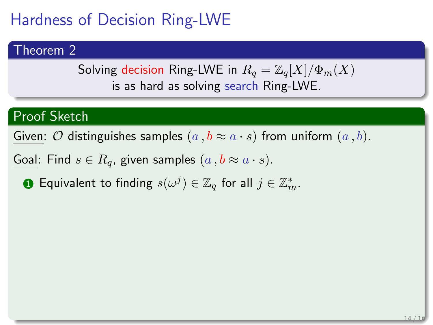#### Theorem 2

Solving decision Ring-LWE in  $R_q = \mathbb{Z}_q[X]/\Phi_m(X)$ is as hard as solving search Ring-LWE.

### Proof Sketch

Given:  $O$  distinguishes samples  $(a, b \approx a \cdot s)$  from uniform  $(a, b)$ .

Goal: Find  $s \in R_q$ , given samples  $(a, b \approx a \cdot s)$ .

 $\textbf{D}$  Equivalent to finding  $s(\omega^j) \in \mathbb{Z}_q$  for all  $j \in \mathbb{Z}_m^*.$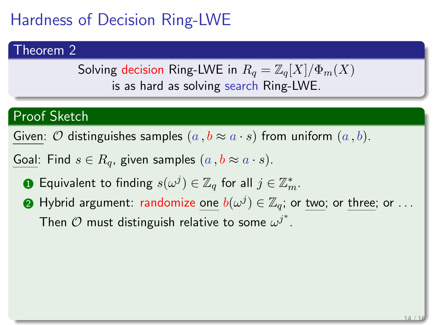### Theorem 2

Solving decision Ring-LWE in  $R_q = \mathbb{Z}_q[X]/\Phi_m(X)$ is as hard as solving search Ring-LWE.

### Proof Sketch

Given:  $O$  distinguishes samples  $(a, b \approx a \cdot s)$  from uniform  $(a, b)$ .

- $\textbf{D}$  Equivalent to finding  $s(\omega^j) \in \mathbb{Z}_q$  for all  $j \in \mathbb{Z}_m^*.$
- $\bullet$  Hybrid argument: randomize <u>one</u>  $b(\omega^j) \in \mathbb{Z}_q$ ; or <u>two;</u> or <u>three;</u> or  $\ldots$ Then  $\mathcal O$  must distinguish relative to some  $\omega^{j^*}.$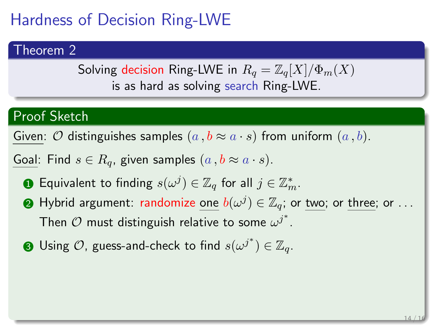#### Theorem 2

Solving decision Ring-LWE in  $R_q = \mathbb{Z}_q[X]/\Phi_m(X)$ is as hard as solving search Ring-LWE.

### Proof Sketch

Given:  $O$  distinguishes samples  $(a, b \approx a \cdot s)$  from uniform  $(a, b)$ .

- $\textbf{D}$  Equivalent to finding  $s(\omega^j) \in \mathbb{Z}_q$  for all  $j \in \mathbb{Z}_m^*.$
- $\bullet$  Hybrid argument: randomize <u>one</u>  $b(\omega^j) \in \mathbb{Z}_q$ ; or <u>two;</u> or <u>three;</u> or  $\ldots$ Then  $\mathcal O$  must distinguish relative to some  $\omega^{j^*}.$
- $\bullet$  Using  $\mathcal{O},$  guess-and-check to find  $s(\omega^{j^*})\in \mathbb{Z}_q.$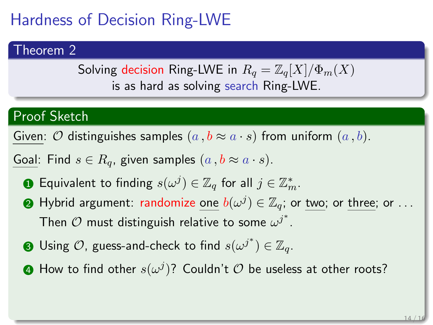### Theorem 2

Solving decision Ring-LWE in  $R_q = \mathbb{Z}_q[X]/\Phi_m(X)$ is as hard as solving search Ring-LWE.

### Proof Sketch

Given:  $O$  distinguishes samples  $(a, b \approx a \cdot s)$  from uniform  $(a, b)$ .

- $\textbf{D}$  Equivalent to finding  $s(\omega^j) \in \mathbb{Z}_q$  for all  $j \in \mathbb{Z}_m^*.$
- $\bullet$  Hybrid argument: randomize <u>one</u>  $b(\omega^j) \in \mathbb{Z}_q$ ; or <u>two;</u> or <u>three;</u> or  $\ldots$ Then  $\mathcal O$  must distinguish relative to some  $\omega^{j^*}.$
- $\bullet$  Using  $\mathcal{O}$ , guess-and-check to find  $s(\omega^{j^*})\in \mathbb{Z}_q.$
- $\, {\bf 4} \,$  How to find other  $s(\omega^j)?$  Couldn't  ${\cal O}$  be useless at other roots?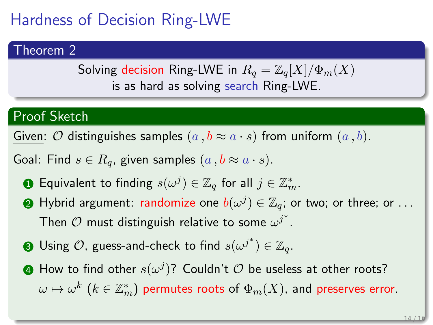### Theorem 2

Solving decision Ring-LWE in  $R_q = \mathbb{Z}_q[X]/\Phi_m(X)$ is as hard as solving search Ring-LWE.

### Proof Sketch

Given:  $O$  distinguishes samples  $(a, b \approx a \cdot s)$  from uniform  $(a, b)$ .

- $\textbf{D}$  Equivalent to finding  $s(\omega^j) \in \mathbb{Z}_q$  for all  $j \in \mathbb{Z}_m^*.$
- $\bullet$  Hybrid argument: randomize <u>one</u>  $b(\omega^j) \in \mathbb{Z}_q$ ; or <u>two;</u> or <u>three;</u> or  $\ldots$ Then  $\mathcal O$  must distinguish relative to some  $\omega^{j^*}.$
- $\bullet$  Using  $\mathcal{O}$ , guess-and-check to find  $s(\omega^{j^*})\in \mathbb{Z}_q.$
- $\, {\bf 4} \,$  How to find other  $s(\omega^j)?$  Couldn't  ${\cal O}$  be useless at other roots?  $\omega\mapsto \omega^k\,\left(k\in\mathbb{Z}_m^*\right)$  permutes roots of  $\Phi_m(X)$ , and preserves error.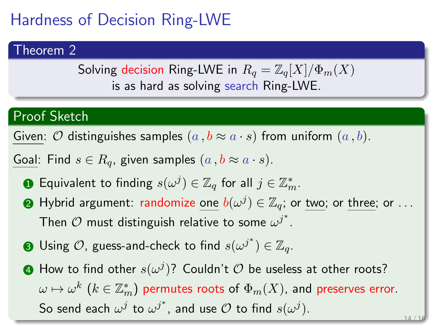### Theorem 2

Solving decision Ring-LWE in  $R_q = \mathbb{Z}_q[X]/\Phi_m(X)$ is as hard as solving search Ring-LWE.

### Proof Sketch

Given:  $O$  distinguishes samples  $(a, b \approx a \cdot s)$  from uniform  $(a, b)$ .

- $\textbf{D}$  Equivalent to finding  $s(\omega^j) \in \mathbb{Z}_q$  for all  $j \in \mathbb{Z}_m^*.$
- $\bullet$  Hybrid argument: randomize <u>one</u>  $b(\omega^j) \in \mathbb{Z}_q$ ; or <u>two;</u> or <u>three;</u> or  $\ldots$ Then  $\mathcal O$  must distinguish relative to some  $\omega^{j^*}.$
- $\bullet$  Using  $\mathcal{O}$ , guess-and-check to find  $s(\omega^{j^*})\in \mathbb{Z}_q.$
- $\, {\bf 4} \,$  How to find other  $s(\omega^j)?$  Couldn't  ${\cal O}$  be useless at other roots?  $\omega\mapsto \omega^k\,\left(k\in\mathbb{Z}_m^*\right)$  permutes roots of  $\Phi_m(X)$ , and preserves error. So send each  $\omega^j$  to  $\omega^{j^*}$ , and use  ${\cal O}$  to find  $s(\omega^j).$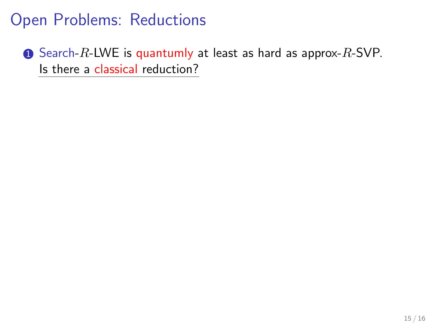$\bullet$  Search-R-LWE is quantumly at least as hard as approx-R-SVP. Is there a classical reduction?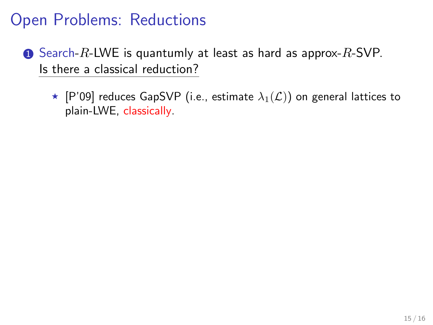- **1** Search-R-LWE is quantumly at least as hard as approx-R-SVP. Is there a classical reduction?
	- $\star$  [P'09] reduces GapSVP (i.e., estimate  $\lambda_1(\mathcal{L})$ ) on general lattices to plain-LWE, classically.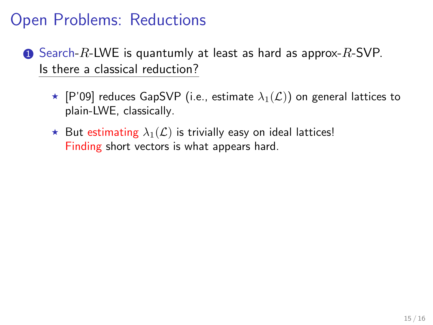- $\bullet$  Search-R-LWE is quantumly at least as hard as approx-R-SVP. Is there a classical reduction?
	- $\star$  [P'09] reduces GapSVP (i.e., estimate  $\lambda_1(\mathcal{L})$ ) on general lattices to plain-LWE, classically.
	- $\star$  But estimating  $\lambda_1(\mathcal{L})$  is trivially easy on ideal lattices! Finding short vectors is what appears hard.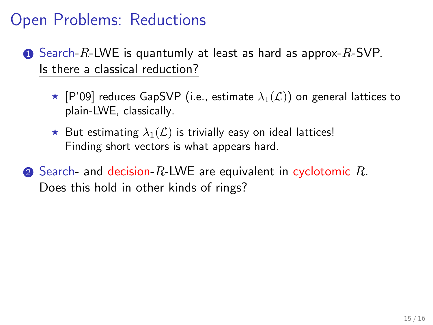- **1** Search-R-LWE is quantumly at least as hard as approx-R-SVP. Is there a classical reduction?
	- $\star$  [P'09] reduces GapSVP (i.e., estimate  $\lambda_1(\mathcal{L})$ ) on general lattices to plain-LWE, classically.
	- $\star$  But estimating  $\lambda_1(\mathcal{L})$  is trivially easy on ideal lattices! Finding short vectors is what appears hard.
- $\bullet$  Search- and decision-R-LWE are equivalent in cyclotomic R. Does this hold in other kinds of rings?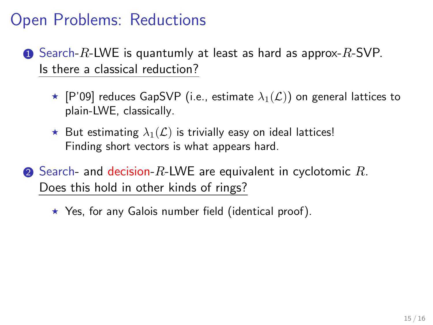- **1** Search-R-LWE is quantumly at least as hard as approx-R-SVP. Is there a classical reduction?
	- $\star$  [P'09] reduces GapSVP (i.e., estimate  $\lambda_1(\mathcal{L})$ ) on general lattices to plain-LWE, classically.
	- $\star$  But estimating  $\lambda_1(\mathcal{L})$  is trivially easy on ideal lattices! Finding short vectors is what appears hard.
- **2** Search- and decision-R-LWE are equivalent in cyclotomic  $R$ . Does this hold in other kinds of rings?

 $\star$  Yes, for any Galois number field (identical proof).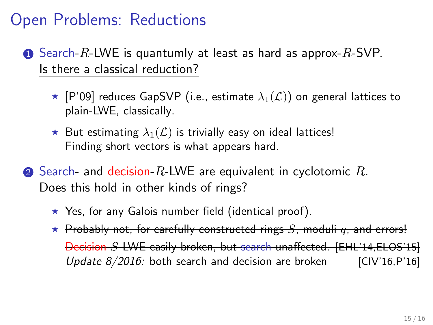- $\bullet$  Search-R-LWE is quantumly at least as hard as approx-R-SVP. Is there a classical reduction?
	- $\star$  [P'09] reduces GapSVP (i.e., estimate  $\lambda_1(\mathcal{L})$ ) on general lattices to plain-LWE, classically.
	- $\star$  But estimating  $\lambda_1(\mathcal{L})$  is trivially easy on ideal lattices! Finding short vectors is what appears hard.
- **2** Search- and decision-R-LWE are equivalent in cyclotomic  $R$ . Does this hold in other kinds of rings?
	- $\star$  Yes, for any Galois number field (identical proof).
	- $\star$  Probably not, for carefully constructed rings S, moduli q, and errors! Decision-S-LWE easily broken, but search unaffected. [EHL'14,ELOS'15] Update  $8/2016$ : both search and decision are broken [CIV'16,P'16]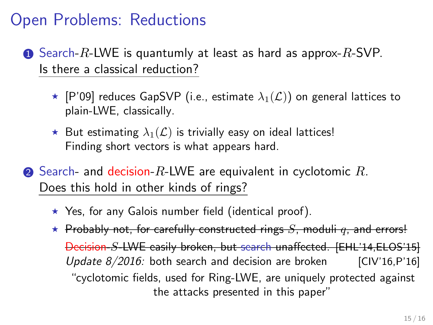- **1** Search-R-LWE is quantumly at least as hard as approx-R-SVP. Is there a classical reduction?
	- $\star$  [P'09] reduces GapSVP (i.e., estimate  $\lambda_1(\mathcal{L})$ ) on general lattices to plain-LWE, classically.
	- $\star$  But estimating  $\lambda_1(\mathcal{L})$  is trivially easy on ideal lattices! Finding short vectors is what appears hard.
- **2** Search- and decision-R-LWE are equivalent in cyclotomic  $R$ . Does this hold in other kinds of rings?
	- $\star$  Yes, for any Galois number field (identical proof).
	- $\star$  Probably not, for carefully constructed rings S, moduli q, and errors! Decision-S-LWE easily broken, but search unaffected. [EHL'14,ELOS'15] Update  $8/2016$ : both search and decision are broken [CIV'16,P'16] "cyclotomic fields, used for Ring-LWE, are uniquely protected against the attacks presented in this paper"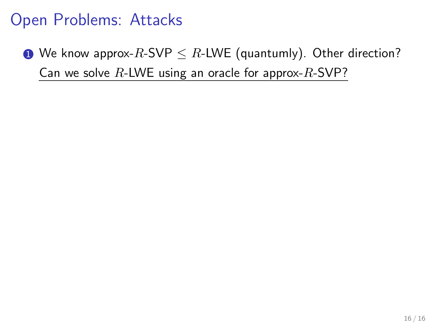## Open Problems: Attacks

**1** We know approx-R-SVP  $\leq$  R-LWE (quantumly). Other direction? Can we solve  $R$ -LWE using an oracle for approx- $R$ -SVP?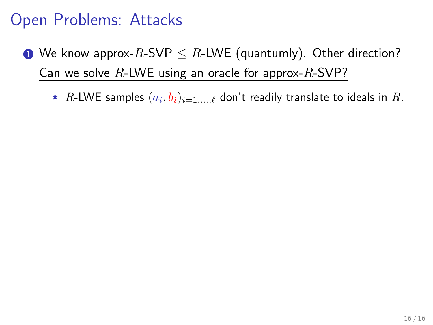## Open Problems: Attacks

- **1** We know approx-R-SVP  $\leq$  R-LWE (quantumly). Other direction? Can we solve  $R$ -LWE using an oracle for approx- $R$ -SVP?
	- $\,\star\,$   $R$ -LWE samples  $(a_i,b_i)_{i=1,...,\ell}$  don't readily translate to ideals in  $R.$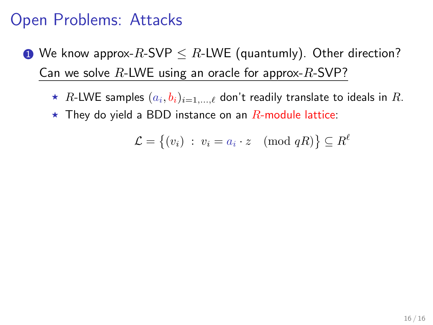## Open Problems: Attacks

- **1** We know approx-R-SVP  $\leq$  R-LWE (quantumly). Other direction? Can we solve  $R$ -LWE using an oracle for approx- $R$ -SVP?
	- $\,\star\,$   $R$ -LWE samples  $(a_i,b_i)_{i=1,...,\ell}$  don't readily translate to ideals in  $R.$
	- $\star$  They do yield a BDD instance on an R-module lattice:

$$
\mathcal{L} = \{(v_i) \; : \; v_i = a_i \cdot z \pmod{qR}\} \subseteq R^{\ell}
$$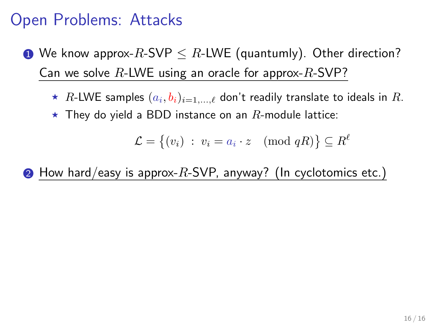- **1** We know approx-R-SVP  $\leq$  R-LWE (quantumly). Other direction? Can we solve  $R$ -LWE using an oracle for approx- $R$ -SVP?
	- $\,\star\,$   $R$ -LWE samples  $(a_i,b_i)_{i=1,...,\ell}$  don't readily translate to ideals in  $R.$  $\star$  They do yield a BDD instance on an R-module lattice:

$$
\mathcal{L} = \{(v_i) \; : \; v_i = a_i \cdot z \pmod{qR}\} \subseteq R^{\ell}
$$

 $\bullet$  How hard/easy is approx-R-SVP, anyway? (In cyclotomics etc.)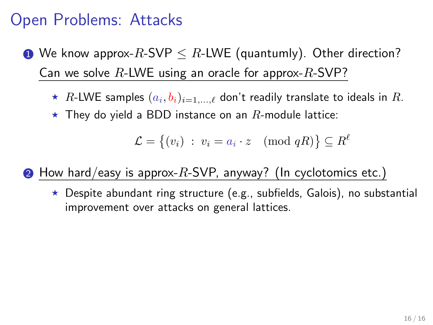- **1** We know approx-R-SVP  $\leq$  R-LWE (quantumly). Other direction? Can we solve  $R$ -LWE using an oracle for approx- $R$ -SVP?
	- $\,\star\,$   $R$ -LWE samples  $(a_i,b_i)_{i=1,...,\ell}$  don't readily translate to ideals in  $R.$
	- $\star$  They do yield a BDD instance on an  $R$ -module lattice:

$$
\mathcal{L} = \{(v_i) \; : \; v_i = a_i \cdot z \pmod{qR}\} \subseteq R^{\ell}
$$

 $\bullet$  How hard/easy is approx-R-SVP, anyway? (In cyclotomics etc.)

 $\star$  Despite abundant ring structure (e.g., subfields, Galois), no substantial improvement over attacks on general lattices.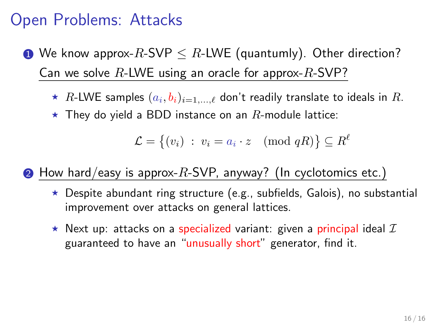- **1** We know approx-R-SVP  $\leq$  R-LWE (quantumly). Other direction? Can we solve  $R$ -LWE using an oracle for approx- $R$ -SVP?
	- $\,\star\,$   $R$ -LWE samples  $(a_i,b_i)_{i=1,...,\ell}$  don't readily translate to ideals in  $R.$
	- $\star$  They do yield a BDD instance on an  $R$ -module lattice:

$$
\mathcal{L} = \{(v_i) : v_i = a_i \cdot z \pmod{qR}\} \subseteq R^{\ell}
$$

 $\bullet$  How hard/easy is approx-R-SVP, anyway? (In cyclotomics etc.)

- $\star$  Despite abundant ring structure (e.g., subfields, Galois), no substantial improvement over attacks on general lattices.
- $\star$  Next up: attacks on a specialized variant: given a principal ideal  ${\cal I}$ guaranteed to have an "unusually short" generator, find it.